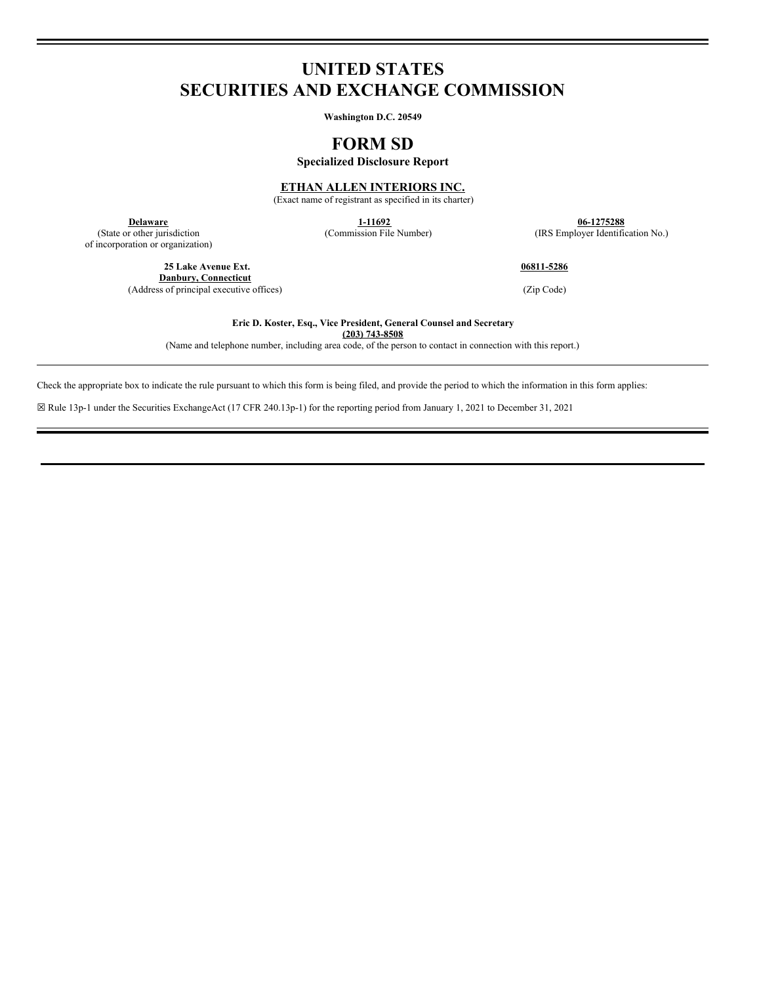# **UNITED STATES SECURITIES AND EXCHANGE COMMISSION**

**Washington D.C. 20549**

## **FORM SD**

**Specialized Disclosure Report**

**ETHAN ALLEN INTERIORS INC.**

(Exact name of registrant as specified in its charter)

(State or other jurisdiction of incorporation or organization)

> **25 Lake Avenue Ext. Danbury, Connecticut** (Address of principal executive offices) (Zip Code)

**1-11692 1-11692 1-11692 1-11692 1-11692 1-11692 1-11692 1-11692 1-11692 1-11692 1-11692 1-125288 1-125288 1-125288 1-125288 1-125288 1-125288 1-125288 1-125288 1-125288 1-125288 1** (IRS Employer Identification No.)

**06811-5286**

**Eric D. Koster, Esq., Vice President, General Counsel and Secretary (203) 743-8508**

(Name and telephone number, including area code, of the person to contact in connection with this report.)

Check the appropriate box to indicate the rule pursuant to which this form is being filed, and provide the period to which the information in this form applies:

☒ Rule 13p-1 under the Securities ExchangeAct (17 CFR 240.13p-1) for the reporting period from January 1, 2021 to December 31, 2021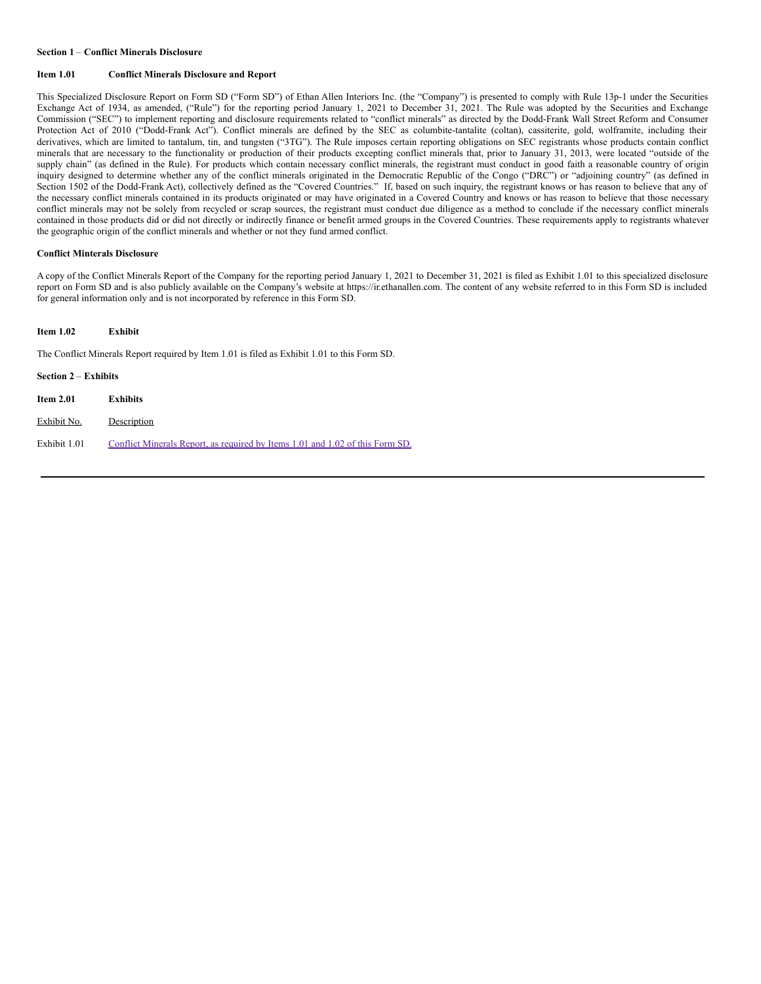#### **Section 1** – **Conflict Minerals Disclosure**

## **Item 1.01 Conflict Minerals Disclosure and Report**

This Specialized Disclosure Report on Form SD ("Form SD") of Ethan Allen Interiors Inc. (the "Company") is presented to comply with Rule 13p-1 under the Securities Exchange Act of 1934, as amended, ("Rule") for the reporting period January 1, 2021 to December 31, 2021. The Rule was adopted by the Securities and Exchange Commission ("SEC") to implement reporting and disclosure requirements related to "conflict minerals" as directed by the Dodd-Frank Wall Street Reform and Consumer Protection Act of 2010 ("Dodd-Frank Act"). Conflict minerals are defined by the SEC as columbite-tantalite (coltan), cassiterite, gold, wolframite, including their derivatives, which are limited to tantalum, tin, and tungsten ("3TG"). The Rule imposes certain reporting obligations on SEC registrants whose products contain conflict minerals that are necessary to the functionality or production of their products excepting conflict minerals that, prior to January 31, 2013, were located "outside of the supply chain" (as defined in the Rule). For products which contain necessary conflict minerals, the registrant must conduct in good faith a reasonable country of origin inquiry designed to determine whether any of the conflict minerals originated in the Democratic Republic of the Congo ("DRC") or "adjoining country" (as defined in Section 1502 of the Dodd-Frank Act), collectively defined as the "Covered Countries." If, based on such inquiry, the registrant knows or has reason to believe that any of the necessary conflict minerals contained in its products originated or may have originated in a Covered Country and knows or has reason to believe that those necessary conflict minerals may not be solely from recycled or scrap sources, the registrant must conduct due diligence as a method to conclude if the necessary conflict minerals contained in those products did or did not directly or indirectly finance or benefit armed groups in the Covered Countries. These requirements apply to registrants whatever the geographic origin of the conflict minerals and whether or not they fund armed conflict.

## **Conflict Minterals Disclosure**

A copy of the Conflict Minerals Report of the Company for the reporting period January 1, 2021 to December 31, 2021 is filed as Exhibit 1.01 to this specialized disclosure report on Form SD and is also publicly available on the Company's website at https://ir.ethanallen.com. The content of any website referred to in this Form SD is included for general information only and is not incorporated by reference in this Form SD.

### **Item 1.02 Exhibit**

The Conflict Minerals Report required by Item 1.01 is filed as Exhibit 1.01 to this Form SD.

| Section $2 -$ Exhibits |                                                                               |
|------------------------|-------------------------------------------------------------------------------|
| Item $2.01$            | <b>Exhibits</b>                                                               |
| Exhibit No.            | Description                                                                   |
| Exhibit 1.01           | Conflict Minerals Report, as required by Items 1.01 and 1.02 of this Form SD. |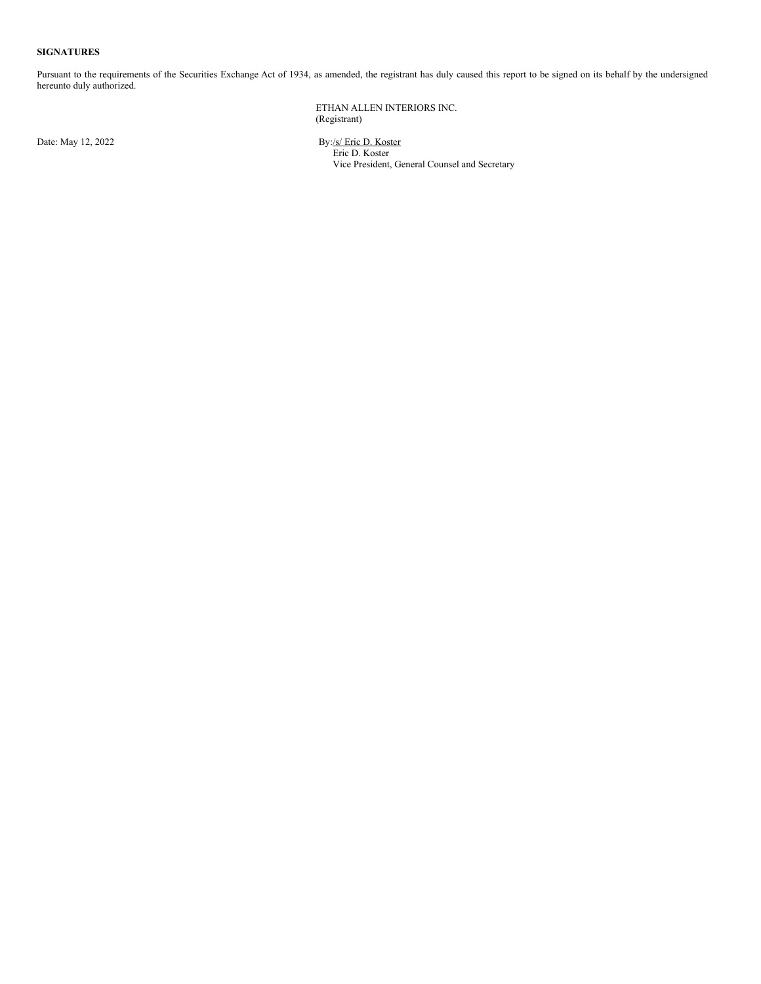#### **SIGNATURES**

Pursuant to the requirements of the Securities Exchange Act of 1934, as amended, the registrant has duly caused this report to be signed on its behalf by the undersigned hereunto duly authorized.

> ETHAN ALLEN INTERIORS INC. (Registrant)

Date: May 12, 2022 By:/s/ Eric D. Koster Eric D. Koster Vice President, General Counsel and Secretary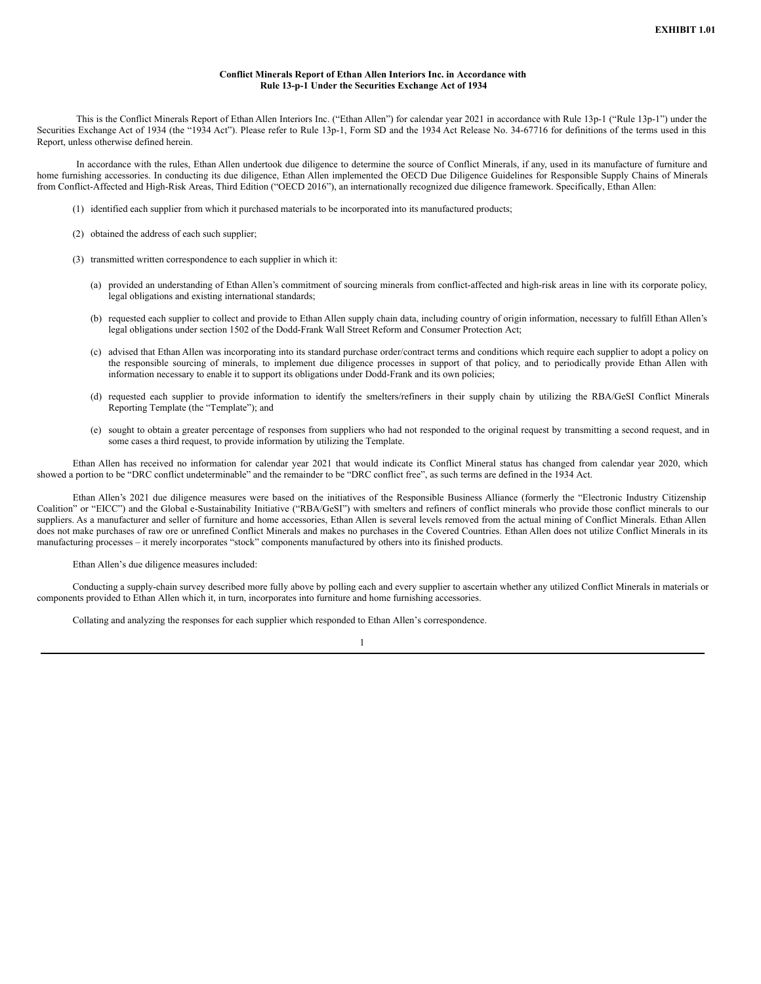#### **Conflict Minerals Report of Ethan Allen Interiors Inc. in Accordance with Rule 13-p-1 Under the Securities Exchange Act of 1934**

<span id="page-3-0"></span>This is the Conflict Minerals Report of Ethan Allen Interiors Inc. ("Ethan Allen") for calendar year 2021 in accordance with Rule 13p-1 ("Rule 13p-1") under the Securities Exchange Act of 1934 (the "1934 Act"). Please refer to Rule 13p-1, Form SD and the 1934 Act Release No. 34-67716 for definitions of the terms used in this Report, unless otherwise defined herein.

In accordance with the rules, Ethan Allen undertook due diligence to determine the source of Conflict Minerals, if any, used in its manufacture of furniture and home furnishing accessories. In conducting its due diligence, Ethan Allen implemented the OECD Due Diligence Guidelines for Responsible Supply Chains of Minerals from Conflict-Affected and High-Risk Areas, Third Edition ("OECD 2016"), an internationally recognized due diligence framework. Specifically, Ethan Allen:

- (1) identified each supplier from which it purchased materials to be incorporated into its manufactured products;
- (2) obtained the address of each such supplier;
- (3) transmitted written correspondence to each supplier in which it:
	- (a) provided an understanding of Ethan Allen's commitment of sourcing minerals from conflict-affected and high-risk areas in line with its corporate policy, legal obligations and existing international standards;
	- (b) requested each supplier to collect and provide to Ethan Allen supply chain data, including country of origin information, necessary to fulfill Ethan Allen's legal obligations under section 1502 of the Dodd-Frank Wall Street Reform and Consumer Protection Act;
	- (c) advised that Ethan Allen was incorporating into its standard purchase order/contract terms and conditions which require each supplier to adopt a policy on the responsible sourcing of minerals, to implement due diligence processes in support of that policy, and to periodically provide Ethan Allen with information necessary to enable it to support its obligations under Dodd-Frank and its own policies;
	- (d) requested each supplier to provide information to identify the smelters/refiners in their supply chain by utilizing the RBA/GeSI Conflict Minerals Reporting Template (the "Template"); and
	- (e) sought to obtain a greater percentage of responses from suppliers who had not responded to the original request by transmitting a second request, and in some cases a third request, to provide information by utilizing the Template.

Ethan Allen has received no information for calendar year 2021 that would indicate its Conflict Mineral status has changed from calendar year 2020, which showed a portion to be "DRC conflict undeterminable" and the remainder to be "DRC conflict free", as such terms are defined in the 1934 Act.

Ethan Allen's 2021 due diligence measures were based on the initiatives of the Responsible Business Alliance (formerly the "Electronic Industry Citizenship Coalition" or "EICC") and the Global e-Sustainability Initiative ("RBA/GeSI") with smelters and refiners of conflict minerals who provide those conflict minerals to our suppliers. As a manufacturer and seller of furniture and home accessories, Ethan Allen is several levels removed from the actual mining of Conflict Minerals. Ethan Allen does not make purchases of raw ore or unrefined Conflict Minerals and makes no purchases in the Covered Countries. Ethan Allen does not utilize Conflict Minerals in its manufacturing processes – it merely incorporates "stock" components manufactured by others into its finished products.

#### Ethan Allen's due diligence measures included:

Conducting a supply-chain survey described more fully above by polling each and every supplier to ascertain whether any utilized Conflict Minerals in materials or components provided to Ethan Allen which it, in turn, incorporates into furniture and home furnishing accessories.

1

Collating and analyzing the responses for each supplier which responded to Ethan Allen's correspondence.